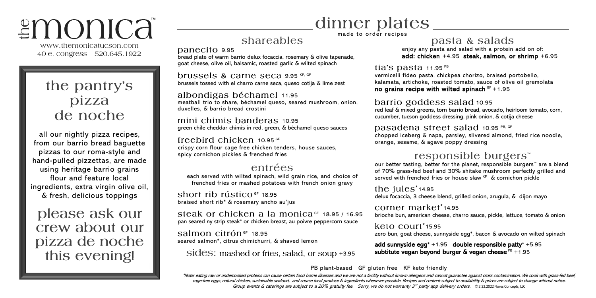# *≅*monica®

www.themonicatucson.com 40 e. congress | 520.645.1922

# the pantry's pizza de noche

all our nightly pizza recipes, from our barrio bread baguette pizzas to our roma-style and hand-pulled pizzettas, are made using heritage barrio grains flour and feature local ingredients, extra virgin olive oil, & fresh, delicious toppings

please ask our crew about our pizza de noche this evening!

# dinner plates

made to order recipes

## shareables

panecito 9.95

bread plate of warm barrio delux focaccia, rosemary & olive tapenade, goat cheese, olive oil, balsamic, roasted garlic & wilted spinach

brussels & carne seca 9.95 KF, GF brussels tossed with el charro carne seca, queso cotija & lime zest

albondigas béchamel 11.95 meatball trio to share, béchamel queso, seared mushroom, onion, duxelles, & barrio bread crostini

mini chimis banderas 10.95 green chile cheddar chimis in red, green, & béchamel queso sauces

freebird chicken  $10.95$  GF crispy corn flour cage free chicken tenders, house sauces, spicy cornichon pickles & frenched fries

#### entrées

each served with wilted spinach, wild grain rice, and choice of frenched fries or mashed potatoes with french onion gravy

Short rib rústico  $GF$  18.95 braised short rib\* & rosemary ancho au'jus

steak or chicken a la monica  $GF$  18.95 / 16.95 pan seared ny strip steak\* or chicken breast, au poivre peppercorn sauce

 $salmon$  citrón  $GF$  18.95 seared salmon\*, citrus chimichurri, & shaved lemon

sides: mashed or fries, salad, or soup +3.95

#### pasta & salads

enjoy any pasta and salad with a protein add on of: add: chicken +4.95 steak, salmon, or shrimp +6.95

tia's pasta  $11.95^{p}$ 

vermicelli fideo pasta, chickpea chorizo, braised portobello, kalamata, artichoke, roasted tomato, sauce of olive oil gremolata no grains recipe with wilted spinach  $GF +1.95$ 

#### barrio goddess salad 10.95

red leaf & mixed greens, torn barrio bread, avocado, heirloom tomato, corn, cucumber, tucson goddess dressing, pink onion, & cotija cheese

#### Dasadena street salad 10.95 PB, GF

chopped iceberg & napa, parsley, slivered almond, fried rice noodle, orange, sesame, & agave poppy dressing

### responsible burgers<sup>™</sup>

our better tasting, better for the planet, responsible burgers™ are a blend of 70% grass-fed beef and 30% shitake mushroom perfectly grilled and served with frenched fries or house slaw KF & cornichon pickle

the  $iules^*$ 14.95 delux focaccia, 3 cheese blend, grilled onion, arugula, & dijon mayo

corner market\*14.95 brioche bun, american cheese, charro sauce, pickle, lettuce, tomato & onion

#### $keto$  court $*$ 15.95

zero bun, goat cheese, sunnyside egg\*, bacon & avocado on wilted spinach

add sunnyside egg\*  $+1.95$  double responsible patty\*  $+5.95$ subtitute vegan beyond burger & vegan cheese  $PB +1.95$ 

PB plant-based GF gluten free KF keto friendly

\*Note: eating raw or undercooked proteins can cause certain food borne illnesses and we are not a facility without known allergens and cannot guarantee against cross contamination. We cook with grass-fed beef, cage-free eggs, natural chicken, sustainable seafood, and source local produce & ingredients whenever possible. Recipes and content subject to availability & prices are subject to change without notice. Group events & caterings are subject to a 20% gratuity fee. Sorry, we do not warranty 3<sup>rd</sup> party app delivery orders. ©2.22.2022 Flores Concepts, LLC